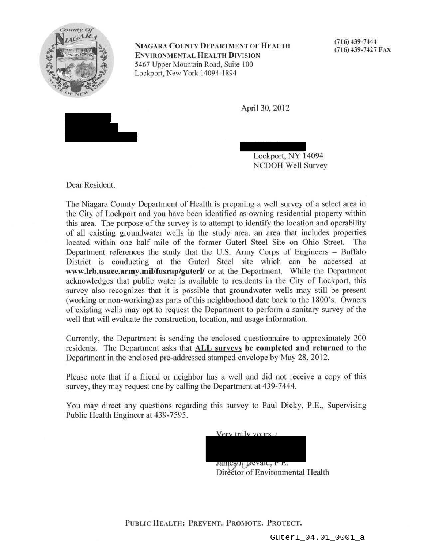

NIAGARA COUNTY DEPARTMENT OF HEALTH ENVIRONMENTAL HEALTH DIVISION 5467 Upper Mountain Road, Suite 100 Lockport, New York 14094-1894

(716) 439-7444 (716) 439-7427 FAX

April 30, 2012



Lockport, NY 14094 NCDOH Well Survey

Dear Resident,

The Niagara County Department of Health is preparing a well survey of a select area in the City of Lockport and you have been identified as owning residential property within this area. The purpose of the survey is to attempt to identify the location and operability of all existing groundwater wells in the study area, an area that includes properties located within one half mile of the former Guterl Steel Site on Ohio Street. The Department references the study that the U.S. Army Corps of Engineers - Buffalo District is conducting at the Guterl Steel site which can be accessed at www.lrb.usace.army.mil/fusrap/guterl/ or at the Department. While the Department acknowledges that public water is available to residents in the City of Lockport, this survey also recognizes that it is possible that groundwater wells may still be present (working or non-working) as parts of this neighborhood date back to the 1800's. Owners of existing wells may opt to request the Department to perform a sanitary survey of the well that will evaluate the construction, location, and usage information.

Currently, the Department is sending the enclosed questionnaire to approximately 200 residents. The Department asks that ALL surveys be completed and returned to the Department in the enclosed pre-addressed stamped envelope by May 28, 2012.

Please note that if a friend or neighbor has a well and did not receive a copy of this survey, they may request one by calling the Department at 439-7444.

You may direct any questions regarding this survey to Paul Dicky, P.E., Supervising Public Health Engineer at 439-7595.

> Very truly yours, / James J. Devalu, P.E. Director of Environmental Health

PUBLIC HEALTH: PREVENT. PROMOTE. PROTECT.

Guterl\_04.01\_0001\_a